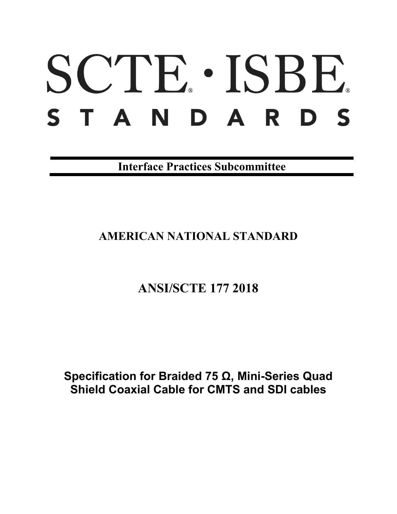# SCTE · ISBE. STANDARDS

**Interface Practices Subcommittee**

# **AMERICAN NATIONAL STANDARD**

# **ANSI/SCTE 177 2018**

## **Specification for Braided 75 Ω, Mini-Series Quad Shield Coaxial Cable for CMTS and SDI cables**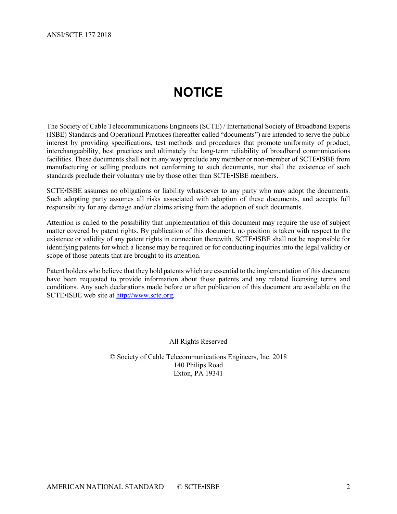# **NOTICE**

<span id="page-1-0"></span>The Society of Cable Telecommunications Engineers (SCTE) / International Society of Broadband Experts (ISBE) Standards and Operational Practices (hereafter called "documents") are intended to serve the public interest by providing specifications, test methods and procedures that promote uniformity of product, interchangeability, best practices and ultimately the long-term reliability of broadband communications facilities. These documents shall not in any way preclude any member or non-member of SCTE•ISBE from manufacturing or selling products not conforming to such documents, nor shall the existence of such standards preclude their voluntary use by those other than SCTE•ISBE members.

SCTE•ISBE assumes no obligations or liability whatsoever to any party who may adopt the documents. Such adopting party assumes all risks associated with adoption of these documents, and accepts full responsibility for any damage and/or claims arising from the adoption of such documents.

Attention is called to the possibility that implementation of this document may require the use of subject matter covered by patent rights. By publication of this document, no position is taken with respect to the existence or validity of any patent rights in connection therewith. SCTE•ISBE shall not be responsible for identifying patents for which a license may be required or for conducting inquiries into the legal validity or scope of those patents that are brought to its attention.

Patent holders who believe that they hold patents which are essential to the implementation of this document have been requested to provide information about those patents and any related licensing terms and conditions. Any such declarations made before or after publication of this document are available on the SCTE•ISBE web site at [http://www.scte.org.](http://www.scte.org/)

All Rights Reserved

© Society of Cable Telecommunications Engineers, Inc. 2018 140 Philips Road Exton, PA 19341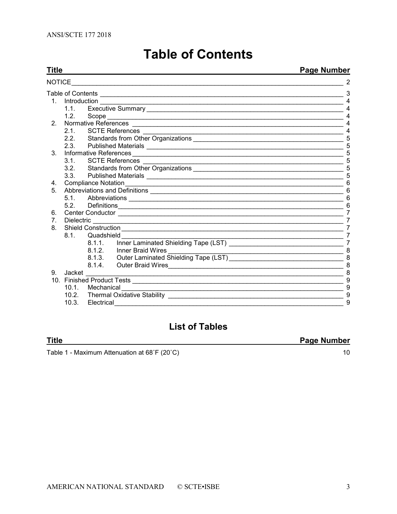<span id="page-2-0"></span>

| Title                          |                                                                          | <b>Page Number</b> |                                             |                       |
|--------------------------------|--------------------------------------------------------------------------|--------------------|---------------------------------------------|-----------------------|
| NOTICE                         |                                                                          |                    |                                             |                       |
|                                |                                                                          |                    |                                             |                       |
|                                |                                                                          |                    |                                             | $\overline{4}$        |
|                                | 1.1.                                                                     |                    |                                             | $\boldsymbol{\Delta}$ |
|                                | 1.2.                                                                     |                    |                                             | 4                     |
| 2 <sup>1</sup>                 |                                                                          |                    |                                             | 4                     |
|                                |                                                                          |                    |                                             | 4                     |
|                                |                                                                          |                    |                                             | 5                     |
|                                |                                                                          |                    |                                             | 5                     |
| 3.                             | Informative References                                                   |                    |                                             | 5                     |
|                                | $3.1 -$                                                                  |                    |                                             | 5                     |
|                                |                                                                          |                    |                                             | 5                     |
|                                |                                                                          |                    |                                             | 5                     |
| 4.                             |                                                                          |                    | 6                                           |                       |
| 5.                             |                                                                          |                    |                                             | 6                     |
|                                | 5.1                                                                      |                    |                                             | 6                     |
|                                |                                                                          |                    |                                             | 6                     |
| 6.                             |                                                                          |                    |                                             | 7                     |
| $7_{\scriptscriptstyle{\sim}}$ |                                                                          | Dielectric         |                                             | 7                     |
| 8.                             |                                                                          |                    |                                             | 7                     |
|                                | 8.1.<br>Quadshield                                                       |                    |                                             | 7                     |
|                                |                                                                          | $8.1.1$ .          |                                             | $\overline{7}$        |
|                                |                                                                          |                    | 8.1.2. Inner Braid Wires                    | 8                     |
|                                |                                                                          |                    | 8.1.3. Outer Laminated Shielding Tape (LST) | 8                     |
|                                |                                                                          |                    | 8.1.4. Outer Braid Wires                    | 8                     |
| 9.                             | Jacket                                                                   |                    |                                             | 8                     |
|                                |                                                                          |                    |                                             | 9                     |
|                                | 10.1. Mechanical<br><u> 1989 - Johann Barn, fransk politik (f. 1989)</u> |                    |                                             | 9                     |
|                                |                                                                          |                    |                                             | 9                     |
|                                | 10.3.                                                                    | Electrical         |                                             | 9                     |

# **Table of Contents**

## **List of Tables**

#### **Title**

Table 1 - Maximum Attenuation at 68°F (20°C)

**Page Number** 

 $10$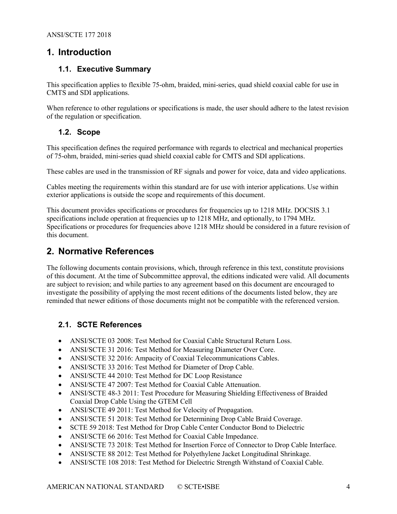## <span id="page-3-0"></span>**1. Introduction**

#### <span id="page-3-1"></span>**1.1. Executive Summary**

This specification applies to flexible 75-ohm, braided, mini-series, quad shield coaxial cable for use in CMTS and SDI applications.

When reference to other regulations or specifications is made, the user should adhere to the latest revision of the regulation or specification.

#### <span id="page-3-2"></span>**1.2. Scope**

This specification defines the required performance with regards to electrical and mechanical properties of 75-ohm, braided, mini-series quad shield coaxial cable for CMTS and SDI applications.

These cables are used in the transmission of RF signals and power for voice, data and video applications.

Cables meeting the requirements within this standard are for use with interior applications. Use within exterior applications is outside the scope and requirements of this document.

This document provides specifications or procedures for frequencies up to 1218 MHz. DOCSIS 3.1 specifications include operation at frequencies up to 1218 MHz, and optionally, to 1794 MHz. Specifications or procedures for frequencies above 1218 MHz should be considered in a future revision of this document.

## <span id="page-3-3"></span>**2. Normative References**

The following documents contain provisions, which, through reference in this text, constitute provisions of this document. At the time of Subcommittee approval, the editions indicated were valid. All documents are subject to revision; and while parties to any agreement based on this document are encouraged to investigate the possibility of applying the most recent editions of the documents listed below, they are reminded that newer editions of those documents might not be compatible with the referenced version.

## <span id="page-3-4"></span>**2.1. SCTE References**

- ANSI/SCTE 03 2008: Test Method for Coaxial Cable Structural Return Loss.
- ANSI/SCTE 31 2016: Test Method for Measuring Diameter Over Core.
- ANSI/SCTE 32 2016: Ampacity of Coaxial Telecommunications Cables.
- ANSI/SCTE 33 2016: Test Method for Diameter of Drop Cable.
- ANSI/SCTE 44 2010: Test Method for DC Loop Resistance
- ANSI/SCTE 47 2007: Test Method for Coaxial Cable Attenuation.
- ANSI/SCTE 48-3 2011: Test Procedure for Measuring Shielding Effectiveness of Braided Coaxial Drop Cable Using the GTEM Cell
- ANSI/SCTE 49 2011: Test Method for Velocity of Propagation.
- ANSI/SCTE 51 2018: Test Method for Determining Drop Cable Braid Coverage.
- SCTE 59 2018: Test Method for Drop Cable Center Conductor Bond to Dielectric
- ANSI/SCTE 66 2016: Test Method for Coaxial Cable Impedance.
- ANSI/SCTE 73 2018: Test Method for Insertion Force of Connector to Drop Cable Interface.
- ANSI/SCTE 88 2012: Test Method for Polyethylene Jacket Longitudinal Shrinkage.
- ANSI/SCTE 108 2018: Test Method for Dielectric Strength Withstand of Coaxial Cable.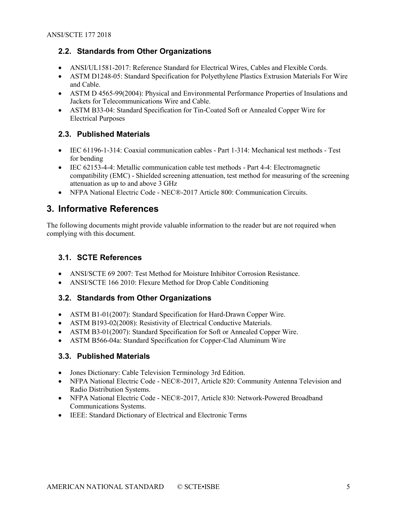## <span id="page-4-0"></span>**2.2. Standards from Other Organizations**

- ANSI/UL1581-2017: Reference Standard for Electrical Wires, Cables and Flexible Cords.
- ASTM D1248-05: Standard Specification for Polyethylene Plastics Extrusion Materials For Wire and Cable.
- ASTM D 4565-99(2004): Physical and Environmental Performance Properties of Insulations and Jackets for Telecommunications Wire and Cable.
- ASTM B33-04: Standard Specification for Tin-Coated Soft or Annealed Copper Wire for Electrical Purposes

## <span id="page-4-1"></span>**2.3. Published Materials**

- IEC 61196-1-314: Coaxial communication cables Part 1-314: Mechanical test methods Test for bending
- IEC 62153-4-4: Metallic communication cable test methods Part 4-4: Electromagnetic compatibility (EMC) - Shielded screening attenuation, test method for measuring of the screening attenuation as up to and above 3 GHz
- NFPA National Electric Code NEC®-2017 Article 800: Communication Circuits.

## <span id="page-4-2"></span>**3. Informative References**

The following documents might provide valuable information to the reader but are not required when complying with this document.

## <span id="page-4-3"></span>**3.1. SCTE References**

- ANSI/SCTE 69 2007: Test Method for Moisture Inhibitor Corrosion Resistance.
- ANSI/SCTE 166 2010: Flexure Method for Drop Cable Conditioning

## <span id="page-4-4"></span>**3.2. Standards from Other Organizations**

- ASTM B1-01(2007): Standard Specification for Hard-Drawn Copper Wire.
- ASTM B193-02(2008): Resistivity of Electrical Conductive Materials.
- ASTM B3-01(2007): Standard Specification for Soft or Annealed Copper Wire.
- ASTM B566-04a: Standard Specification for Copper-Clad Aluminum Wire

## <span id="page-4-5"></span>**3.3. Published Materials**

- Jones Dictionary: Cable Television Terminology 3rd Edition.
- NFPA National Electric Code NEC®-2017, Article 820: Community Antenna Television and Radio Distribution Systems.
- NFPA National Electric Code NEC®-2017, Article 830: Network-Powered Broadband Communications Systems.
- IEEE: Standard Dictionary of Electrical and Electronic Terms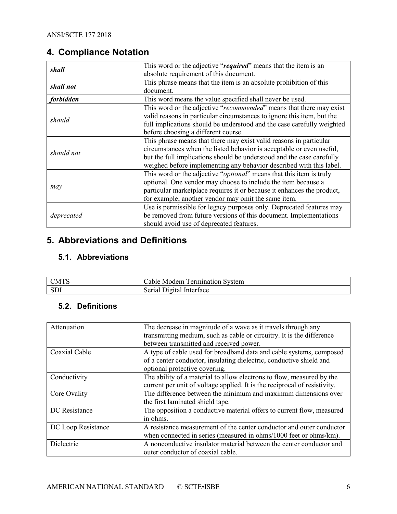## <span id="page-5-0"></span>**4. Compliance Notation**

| shall      | This word or the adjective "required" means that the item is an              |  |
|------------|------------------------------------------------------------------------------|--|
|            | absolute requirement of this document.                                       |  |
| shall not  | This phrase means that the item is an absolute prohibition of this           |  |
|            | document.                                                                    |  |
| forbidden  | This word means the value specified shall never be used.                     |  |
|            | This word or the adjective "recommended" means that there may exist          |  |
| should     | valid reasons in particular circumstances to ignore this item, but the       |  |
|            | full implications should be understood and the case carefully weighted       |  |
|            | before choosing a different course.                                          |  |
|            | This phrase means that there may exist valid reasons in particular           |  |
| should not | circumstances when the listed behavior is acceptable or even useful,         |  |
|            | but the full implications should be understood and the case carefully        |  |
|            | weighed before implementing any behavior described with this label.          |  |
|            | This word or the adjective " <i>optional</i> " means that this item is truly |  |
|            | optional. One vendor may choose to include the item because a                |  |
| may        | particular marketplace requires it or because it enhances the product,       |  |
|            | for example; another vendor may omit the same item.                          |  |
|            | Use is permissible for legacy purposes only. Deprecated features may         |  |
| deprecated | be removed from future versions of this document. Implementations            |  |
|            | should avoid use of deprecated features.                                     |  |

## <span id="page-5-1"></span>**5. Abbreviations and Definitions**

## <span id="page-5-2"></span>**5.1. Abbreviations**

| <b>CMTS</b> | Fermination System<br>able<br>Modem |
|-------------|-------------------------------------|
| CD          | Serial                              |
| ാപം.        | Digital Interface                   |

## <span id="page-5-3"></span>**5.2. Definitions**

| Attenuation        | The decrease in magnitude of a wave as it travels through any<br>transmitting medium, such as cable or circuitry. It is the difference<br>between transmitted and received power. |
|--------------------|-----------------------------------------------------------------------------------------------------------------------------------------------------------------------------------|
| Coaxial Cable      | A type of cable used for broadband data and cable systems, composed<br>of a center conductor, insulating dielectric, conductive shield and<br>optional protective covering.       |
| Conductivity       | The ability of a material to allow electrons to flow, measured by the<br>current per unit of voltage applied. It is the reciprocal of resistivity.                                |
| Core Ovality       | The difference between the minimum and maximum dimensions over<br>the first laminated shield tape.                                                                                |
| DC Resistance      | The opposition a conductive material offers to current flow, measured<br>in ohms.                                                                                                 |
| DC Loop Resistance | A resistance measurement of the center conductor and outer conductor<br>when connected in series (measured in ohms/1000 feet or ohms/km).                                         |
| Dielectric         | A nonconductive insulator material between the center conductor and<br>outer conductor of coaxial cable.                                                                          |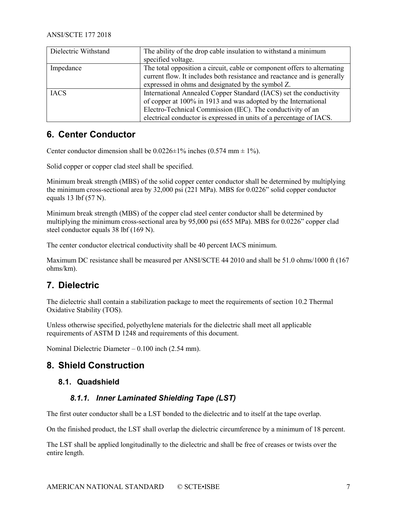| Dielectric Withstand | The ability of the drop cable insulation to withstand a minimum          |  |
|----------------------|--------------------------------------------------------------------------|--|
|                      | specified voltage.                                                       |  |
| Impedance            | The total opposition a circuit, cable or component offers to alternating |  |
|                      | current flow. It includes both resistance and reactance and is generally |  |
|                      | expressed in ohms and designated by the symbol Z.                        |  |
| <b>IACS</b>          | International Annealed Copper Standard (IACS) set the conductivity       |  |
|                      | of copper at 100% in 1913 and was adopted by the International           |  |
|                      | Electro-Technical Commission (IEC). The conductivity of an               |  |
|                      | electrical conductor is expressed in units of a percentage of IACS.      |  |

## <span id="page-6-0"></span>**6. Center Conductor**

Center conductor dimension shall be  $0.0226 \pm 1\%$  inches  $(0.574 \text{ mm} \pm 1\%)$ .

Solid copper or copper clad steel shall be specified.

Minimum break strength (MBS) of the solid copper center conductor shall be determined by multiplying the minimum cross-sectional area by 32,000 psi (221 MPa). MBS for 0.0226" solid copper conductor equals 13 lbf (57 N).

Minimum break strength (MBS) of the copper clad steel center conductor shall be determined by multiplying the minimum cross-sectional area by 95,000 psi (655 MPa). MBS for 0.0226" copper clad steel conductor equals 38 lbf (169 N).

The center conductor electrical conductivity shall be 40 percent IACS minimum.

Maximum DC resistance shall be measured per ANSI/SCTE 44 2010 and shall be 51.0 ohms/1000 ft (167 ohms/km).

## <span id="page-6-1"></span>**7. Dielectric**

The dielectric shall contain a stabilization package to meet the requirements of sectio[n 10.2](#page-8-2) Thermal Oxidative Stability (TOS).

Unless otherwise specified, polyethylene materials for the dielectric shall meet all applicable requirements of ASTM D 1248 and requirements of this document.

<span id="page-6-2"></span>Nominal Dielectric Diameter – 0.100 inch (2.54 mm).

## <span id="page-6-3"></span>**8. Shield Construction**

#### <span id="page-6-4"></span>**8.1. Quadshield**

#### *8.1.1. Inner Laminated Shielding Tape (LST)*

The first outer conductor shall be a LST bonded to the dielectric and to itself at the tape overlap.

On the finished product, the LST shall overlap the dielectric circumference by a minimum of 18 percent.

The LST shall be applied longitudinally to the dielectric and shall be free of creases or twists over the entire length.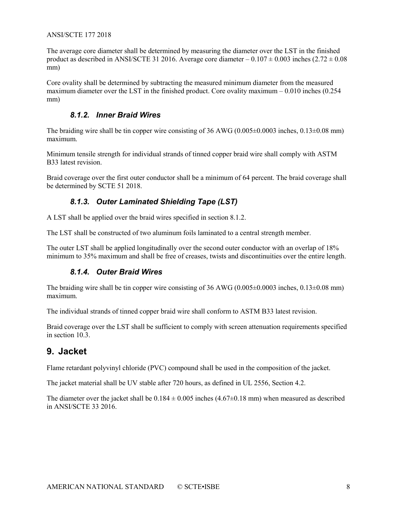The average core diameter shall be determined by measuring the diameter over the LST in the finished product as described in ANSI/SCTE 31 2016. Average core diameter  $-0.107 \pm 0.003$  inches (2.72  $\pm 0.08$ ) mm)

Core ovality shall be determined by subtracting the measured minimum diameter from the measured maximum diameter over the LST in the finished product. Core ovality maximum – 0.010 inches (0.254 mm)

#### *8.1.2. Inner Braid Wires*

<span id="page-7-0"></span>The braiding wire shall be tin copper wire consisting of 36 AWG (0.005 $\pm$ 0.0003 inches, 0.13 $\pm$ 0.08 mm) maximum.

Minimum tensile strength for individual strands of tinned copper braid wire shall comply with ASTM B33 latest revision.

<span id="page-7-1"></span>Braid coverage over the first outer conductor shall be a minimum of 64 percent. The braid coverage shall be determined by SCTE 51 2018.

## *8.1.3. Outer Laminated Shielding Tape (LST)*

A LST shall be applied over the braid wires specified in section [8.1.2.](#page-7-0)

The LST shall be constructed of two aluminum foils laminated to a central strength member.

<span id="page-7-2"></span>The outer LST shall be applied longitudinally over the second outer conductor with an overlap of 18% minimum to 35% maximum and shall be free of creases, twists and discontinuities over the entire length.

## *8.1.4. Outer Braid Wires*

The braiding wire shall be tin copper wire consisting of 36 AWG (0.005 $\pm$ 0.0003 inches, 0.13 $\pm$ 0.08 mm) maximum.

The individual strands of tinned copper braid wire shall conform to ASTM B33 latest revision.

Braid coverage over the LST shall be sufficient to comply with screen attenuation requirements specified in section [10.3.](#page-8-3)

## <span id="page-7-3"></span>**9. Jacket**

Flame retardant polyvinyl chloride (PVC) compound shall be used in the composition of the jacket.

The jacket material shall be UV stable after 720 hours, as defined in UL 2556, Section 4.2.

The diameter over the jacket shall be  $0.184 \pm 0.005$  inches  $(4.67 \pm 0.18$  mm) when measured as described in ANSI/SCTE 33 2016.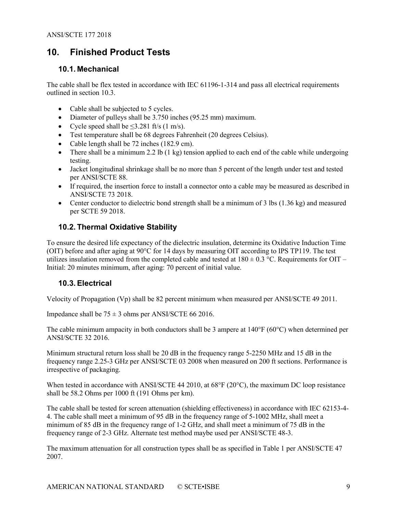## <span id="page-8-0"></span>**10. Finished Product Tests**

#### <span id="page-8-1"></span>**10.1. Mechanical**

The cable shall be flex tested in accordance with IEC 61196-1-314 and pass all electrical requirements outlined in section [10.3.](#page-8-3)

- Cable shall be subjected to 5 cycles.
- Diameter of pulleys shall be 3.750 inches (95.25 mm) maximum.
- Cycle speed shall be  $\leq 3.281$  ft/s (1 m/s).
- Test temperature shall be 68 degrees Fahrenheit (20 degrees Celsius).
- Cable length shall be 72 inches (182.9 cm).
- There shall be a minimum 2.2 lb  $(1 \text{ kg})$  tension applied to each end of the cable while undergoing testing.
- Jacket longitudinal shrinkage shall be no more than 5 percent of the length under test and tested per ANSI/SCTE 88.
- If required, the insertion force to install a connector onto a cable may be measured as described in ANSI/SCTE 73 2018.
- Center conductor to dielectric bond strength shall be a minimum of 3 lbs (1.36 kg) and measured per SCTE 59 2018.

## <span id="page-8-2"></span>**10.2. Thermal Oxidative Stability**

To ensure the desired life expectancy of the dielectric insulation, determine its Oxidative Induction Time (OIT) before and after aging at 90°C for 14 days by measuring OIT according to IPS TP119. The test utilizes insulation removed from the completed cable and tested at  $180 \pm 0.3$  °C. Requirements for OIT – Initial: 20 minutes minimum, after aging: 70 percent of initial value.

#### <span id="page-8-3"></span>**10.3. Electrical**

Velocity of Propagation (Vp) shall be 82 percent minimum when measured per ANSI/SCTE 49 2011.

Impedance shall be  $75 \pm 3$  ohms per ANSI/SCTE 66 2016.

The cable minimum ampacity in both conductors shall be 3 ampere at 140°F (60°C) when determined per ANSI/SCTE 32 2016.

Minimum structural return loss shall be 20 dB in the frequency range 5-2250 MHz and 15 dB in the frequency range 2.25-3 GHz per ANSI/SCTE 03 2008 when measured on 200 ft sections. Performance is irrespective of packaging.

When tested in accordance with ANSI/SCTE 44 2010, at 68°F (20°C), the maximum DC loop resistance shall be 58.2 Ohms per 1000 ft (191 Ohms per km).

The cable shall be tested for screen attenuation (shielding effectiveness) in accordance with IEC 62153-4- 4. The cable shall meet a minimum of 95 dB in the frequency range of 5-1002 MHz, shall meet a minimum of 85 dB in the frequency range of 1-2 GHz, and shall meet a minimum of 75 dB in the frequency range of 2-3 GHz. Alternate test method maybe used per ANSI/SCTE 48-3.

The maximum attenuation for all construction types shall be as specified in [Table 1](#page-9-0) per ANSI/SCTE 47 2007.